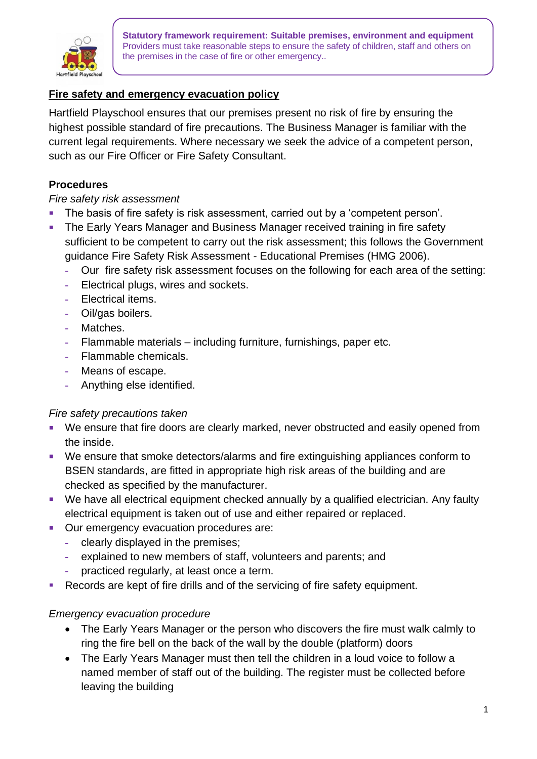

**Statutory framework requirement: Suitable premises, environment and equipment** Providers must take reasonable steps to ensure the safety of children, staff and others on the premises in the case of fire or other emergency..

## **Fire safety and emergency evacuation policy**

Hartfield Playschool ensures that our premises present no risk of fire by ensuring the highest possible standard of fire precautions. The Business Manager is familiar with the current legal requirements. Where necessary we seek the advice of a competent person, such as our Fire Officer or Fire Safety Consultant.

## **Procedures**

#### *Fire safety risk assessment*

- The basis of fire safety is risk assessment, carried out by a 'competent person'.
- The Early Years Manager and Business Manager received training in fire safety sufficient to be competent to carry out the risk assessment; this follows the Government guidance Fire Safety Risk Assessment - Educational Premises (HMG 2006).
	- **-** Our fire safety risk assessment focuses on the following for each area of the setting:
	- **-** Electrical plugs, wires and sockets.
	- **-** Electrical items.
	- **-** Oil/gas boilers.
	- **-** Matches.
	- **-** Flammable materials including furniture, furnishings, paper etc.
	- **-** Flammable chemicals.
	- **-** Means of escape.
	- **-** Anything else identified.

#### *Fire safety precautions taken*

- We ensure that fire doors are clearly marked, never obstructed and easily opened from the inside.
- We ensure that smoke detectors/alarms and fire extinguishing appliances conform to BSEN standards, are fitted in appropriate high risk areas of the building and are checked as specified by the manufacturer.
- We have all electrical equipment checked annually by a qualified electrician. Any faulty electrical equipment is taken out of use and either repaired or replaced.
- Our emergency evacuation procedures are:
	- **-** clearly displayed in the premises;
	- **-** explained to new members of staff, volunteers and parents; and
	- **-** practiced regularly, at least once a term.
- Records are kept of fire drills and of the servicing of fire safety equipment.

#### *Emergency evacuation procedure*

- The Early Years Manager or the person who discovers the fire must walk calmly to ring the fire bell on the back of the wall by the double (platform) doors
- The Early Years Manager must then tell the children in a loud voice to follow a named member of staff out of the building. The register must be collected before leaving the building